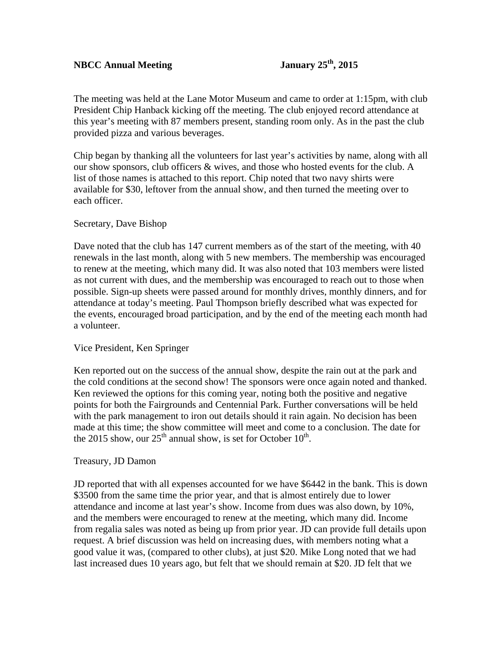# **NBCC Annual Meeting January 25th, 2015**

The meeting was held at the Lane Motor Museum and came to order at 1:15pm, with club President Chip Hanback kicking off the meeting. The club enjoyed record attendance at this year's meeting with 87 members present, standing room only. As in the past the club provided pizza and various beverages.

Chip began by thanking all the volunteers for last year's activities by name, along with all our show sponsors, club officers & wives, and those who hosted events for the club. A list of those names is attached to this report. Chip noted that two navy shirts were available for \$30, leftover from the annual show, and then turned the meeting over to each officer.

## Secretary, Dave Bishop

Dave noted that the club has 147 current members as of the start of the meeting, with 40 renewals in the last month, along with 5 new members. The membership was encouraged to renew at the meeting, which many did. It was also noted that 103 members were listed as not current with dues, and the membership was encouraged to reach out to those when possible. Sign-up sheets were passed around for monthly drives, monthly dinners, and for attendance at today's meeting. Paul Thompson briefly described what was expected for the events, encouraged broad participation, and by the end of the meeting each month had a volunteer.

### Vice President, Ken Springer

Ken reported out on the success of the annual show, despite the rain out at the park and the cold conditions at the second show! The sponsors were once again noted and thanked. Ken reviewed the options for this coming year, noting both the positive and negative points for both the Fairgrounds and Centennial Park. Further conversations will be held with the park management to iron out details should it rain again. No decision has been made at this time; the show committee will meet and come to a conclusion. The date for the 2015 show, our  $25<sup>th</sup>$  annual show, is set for October 10<sup>th</sup>.

### Treasury, JD Damon

JD reported that with all expenses accounted for we have \$6442 in the bank. This is down \$3500 from the same time the prior year, and that is almost entirely due to lower attendance and income at last year's show. Income from dues was also down, by 10%, and the members were encouraged to renew at the meeting, which many did. Income from regalia sales was noted as being up from prior year. JD can provide full details upon request. A brief discussion was held on increasing dues, with members noting what a good value it was, (compared to other clubs), at just \$20. Mike Long noted that we had last increased dues 10 years ago, but felt that we should remain at \$20. JD felt that we